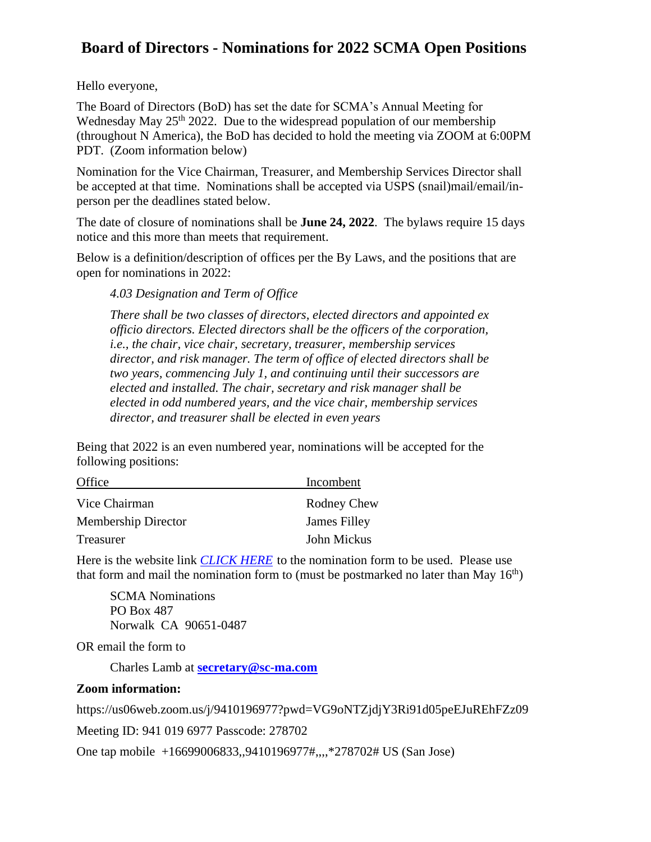## **Board of Directors - Nominations for 2022 SCMA Open Positions**

Hello everyone,

The Board of Directors (BoD) has set the date for SCMA's Annual Meeting for Wednesday May  $25<sup>th</sup> 2022$ . Due to the widespread population of our membership (throughout N America), the BoD has decided to hold the meeting via ZOOM at 6:00PM PDT. (Zoom information below)

Nomination for the Vice Chairman, Treasurer, and Membership Services Director shall be accepted at that time. Nominations shall be accepted via USPS (snail)mail/email/inperson per the deadlines stated below.

The date of closure of nominations shall be **June 24, 2022**. The bylaws require 15 days notice and this more than meets that requirement.

Below is a definition/description of offices per the By Laws, and the positions that are open for nominations in 2022:

*4.03 Designation and Term of Office*

*There shall be two classes of directors, elected directors and appointed ex officio directors. Elected directors shall be the officers of the corporation, i.e., the chair, vice chair, secretary, treasurer, membership services director, and risk manager. The term of office of elected directors shall be two years, commencing July 1, and continuing until their successors are elected and installed. The chair, secretary and risk manager shall be elected in odd numbered years, and the vice chair, membership services director, and treasurer shall be elected in even years*

Being that 2022 is an even numbered year, nominations will be accepted for the following positions:

| Office              | Incombent          |
|---------------------|--------------------|
| Vice Chairman       | <b>Rodney Chew</b> |
| Membership Director | James Filley       |
| Treasurer           | John Mickus        |

Here is the website link *[CLICK HERE](https://sc-ma.com/wp-content/uploads/2022/05/SCMA-Board-Nominations-2022.pdf)* to the nomination form to be used. Please use that form and mail the nomination form to (must be postmarked no later than May  $16<sup>th</sup>$ )

SCMA Nominations PO Box 487 Norwalk CA 90651-0487

OR email the form to

Charles Lamb at **[secretary@sc-ma.com](mailto:secretary@sc-ma.com)**

## **Zoom information:**

https://us06web.zoom.us/j/9410196977?pwd=VG9oNTZjdjY3Ri91d05peEJuREhFZz09

Meeting ID: 941 019 6977 Passcode: 278702

One tap mobile +16699006833,,9410196977#,,,,\*278702# US (San Jose)